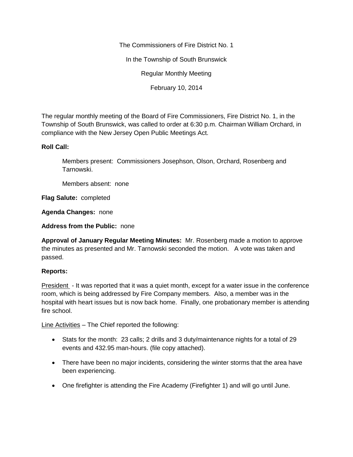The Commissioners of Fire District No. 1

In the Township of South Brunswick

Regular Monthly Meeting

February 10, 2014

The regular monthly meeting of the Board of Fire Commissioners, Fire District No. 1, in the Township of South Brunswick, was called to order at 6:30 p.m. Chairman William Orchard, in compliance with the New Jersey Open Public Meetings Act.

## **Roll Call:**

Members present: Commissioners Josephson, Olson, Orchard, Rosenberg and Tarnowski.

Members absent: none

**Flag Salute:** completed

**Agenda Changes:** none

**Address from the Public:** none

**Approval of January Regular Meeting Minutes:** Mr. Rosenberg made a motion to approve the minutes as presented and Mr. Tarnowski seconded the motion. A vote was taken and passed.

## **Reports:**

President - It was reported that it was a quiet month, except for a water issue in the conference room, which is being addressed by Fire Company members. Also, a member was in the hospital with heart issues but is now back home. Finally, one probationary member is attending fire school.

Line Activities – The Chief reported the following:

- Stats for the month: 23 calls; 2 drills and 3 duty/maintenance nights for a total of 29 events and 432.95 man-hours. (file copy attached).
- There have been no major incidents, considering the winter storms that the area have been experiencing.
- One firefighter is attending the Fire Academy (Firefighter 1) and will go until June.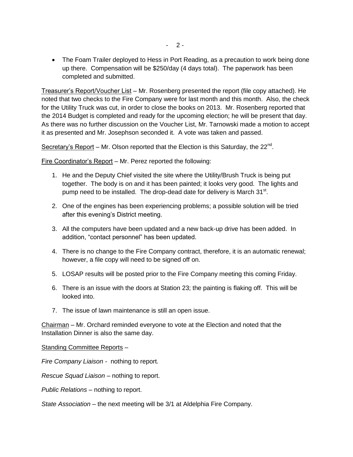• The Foam Trailer deployed to Hess in Port Reading, as a precaution to work being done up there. Compensation will be \$250/day (4 days total). The paperwork has been completed and submitted.

Treasurer's Report/Voucher List – Mr. Rosenberg presented the report (file copy attached). He noted that two checks to the Fire Company were for last month and this month. Also, the check for the Utility Truck was cut, in order to close the books on 2013. Mr. Rosenberg reported that the 2014 Budget is completed and ready for the upcoming election; he will be present that day. As there was no further discussion on the Voucher List, Mr. Tarnowski made a motion to accept it as presented and Mr. Josephson seconded it. A vote was taken and passed.

Secretary's Report - Mr. Olson reported that the Election is this Saturday, the  $22^{\text{nd}}$ .

Fire Coordinator's Report – Mr. Perez reported the following:

- 1. He and the Deputy Chief visited the site where the Utility/Brush Truck is being put together. The body is on and it has been painted; it looks very good. The lights and pump need to be installed. The drop-dead date for delivery is March 31 $^{\rm st}$ .
- 2. One of the engines has been experiencing problems; a possible solution will be tried after this evening's District meeting.
- 3. All the computers have been updated and a new back-up drive has been added. In addition, "contact personnel" has been updated.
- 4. There is no change to the Fire Company contract, therefore, it is an automatic renewal; however, a file copy will need to be signed off on.
- 5. LOSAP results will be posted prior to the Fire Company meeting this coming Friday.
- 6. There is an issue with the doors at Station 23; the painting is flaking off. This will be looked into.
- 7. The issue of lawn maintenance is still an open issue.

Chairman – Mr. Orchard reminded everyone to vote at the Election and noted that the Installation Dinner is also the same day.

## Standing Committee Reports –

*Fire Company Liaison -* nothing to report.

*Rescue Squad Liaison –* nothing to report.

*Public Relations –* nothing to report.

*State Association –* the next meeting will be 3/1 at Aldelphia Fire Company.